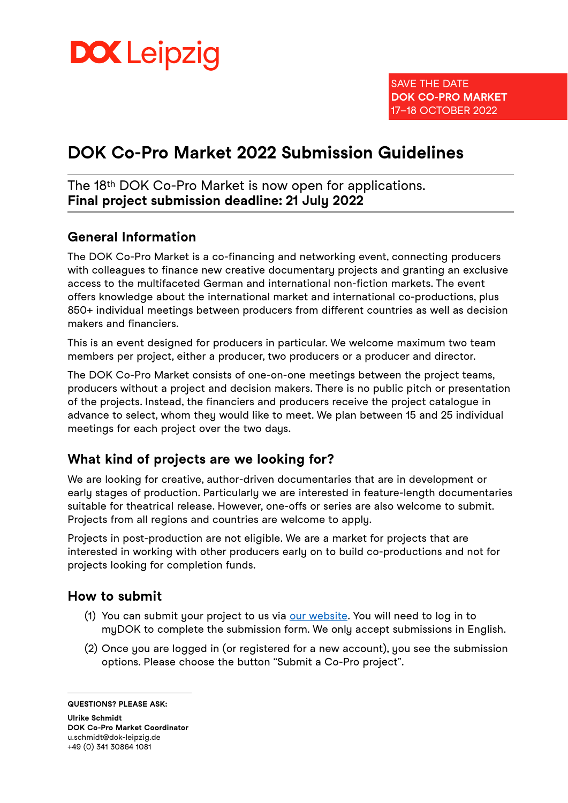

# **DOK Co-Pro Market 2022 Submission Guidelines**

The 18th DOK Co-Pro Market is now open for applications. **Final project submission deadline: 21 July 2022**

## **General Information**

The DOK Co-Pro Market is a co-financing and networking event, connecting producers with colleagues to finance new creative documentary projects and granting an exclusive access to the multifaceted German and international non-fiction markets. The event offers knowledge about the international market and international co-productions, plus 850+ individual meetings between producers from different countries as well as decision makers and financiers.

This is an event designed for producers in particular. We welcome maximum two team members per project, either a producer, two producers or a producer and director.

The DOK Co-Pro Market consists of one-on-one meetings between the project teams, producers without a project and decision makers. There is no public pitch or presentation of the projects. Instead, the financiers and producers receive the project catalogue in advance to select, whom they would like to meet. We plan between 15 and 25 individual meetings for each project over the two days.

## **What kind of projects are we looking for?**

We are looking for creative, author-driven documentaries that are in development or early stages of production. Particularly we are interested in feature-length documentaries suitable for theatrical release. However, one-offs or series are also welcome to submit. Projects from all regions and countries are welcome to apply.

Projects in post-production are not eligible. We are a market for projects that are interested in working with other producers early on to build co-productions and not for projects looking for completion funds.

## **How to submit**

- (1) You can submit your project to us via [our website](https://www.dok-leipzig.de/en/mydok/submission). You will need to log in to myDOK to complete the submission form. We only accept submissions in English.
- (2) Once you are logged in (or registered for a new account), you see the submission options. Please choose the button "Submit a Co-Pro project".

**QUESTIONS? PLEASE ASK:**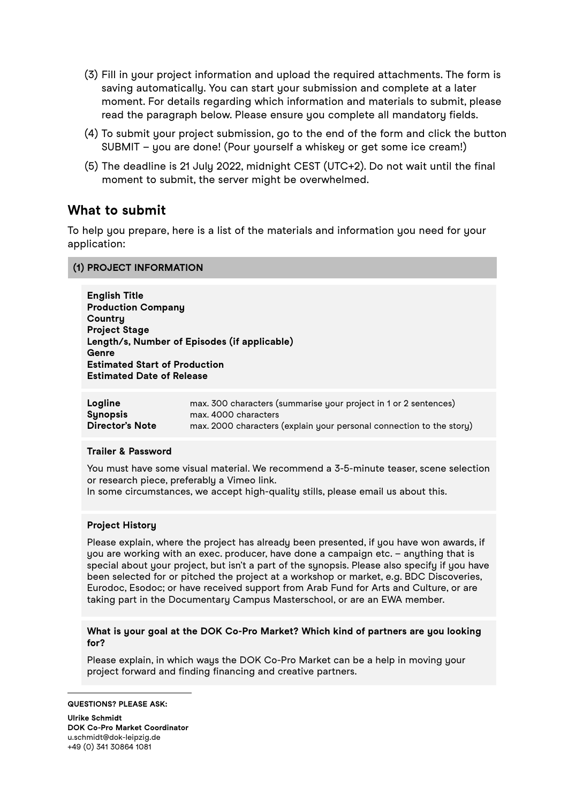- (3) Fill in your project information and upload the required attachments. The form is saving automatically. You can start your submission and complete at a later moment. For details regarding which information and materials to submit, please read the paragraph below. Please ensure you complete all mandatory fields.
- (4) To submit your project submission, go to the end of the form and click the button SUBMIT – you are done! (Pour yourself a whiskey or get some ice cream!)
- (5) The deadline is 21 July 2022, midnight CEST (UTC+2). Do not wait until the final moment to submit, the server might be overwhelmed.

## **What to submit**

To help you prepare, here is a list of the materials and information you need for your application:

### **(1) PROJECT INFORMATION**

**English Title Production Company Country Project Stage Length/s, Number of Episodes (if applicable) Genre Estimated Start of Production Estimated Date of Release**

| Logline                | max. 300 characters (summarise your project in 1 or 2 sentences)     |
|------------------------|----------------------------------------------------------------------|
| Synopsis               | max. 4000 characters                                                 |
| <b>Director's Note</b> | max. 2000 characters (explain your personal connection to the story) |

#### **Trailer & Password**

You must have some visual material. We recommend a 3-5-minute teaser, scene selection or research piece, preferably a Vimeo link.

In some circumstances, we accept high-quality stills, please email us about this.

#### **Project History**

Please explain, where the project has already been presented, if you have won awards, if you are working with an exec. producer, have done a campaign etc. – anything that is special about your project, but isn't a part of the synopsis. Please also specify if you have been selected for or pitched the project at a workshop or market, e.g. BDC Discoveries, Eurodoc, Esodoc; or have received support from Arab Fund for Arts and Culture, or are taking part in the Documentary Campus Masterschool, or are an EWA member.

#### **What is your goal at the DOK Co-Pro Market? Which kind of partners are you looking for?**

Please explain, in which ways the DOK Co-Pro Market can be a help in moving your project forward and finding financing and creative partners.

#### **QUESTIONS? PLEASE ASK:**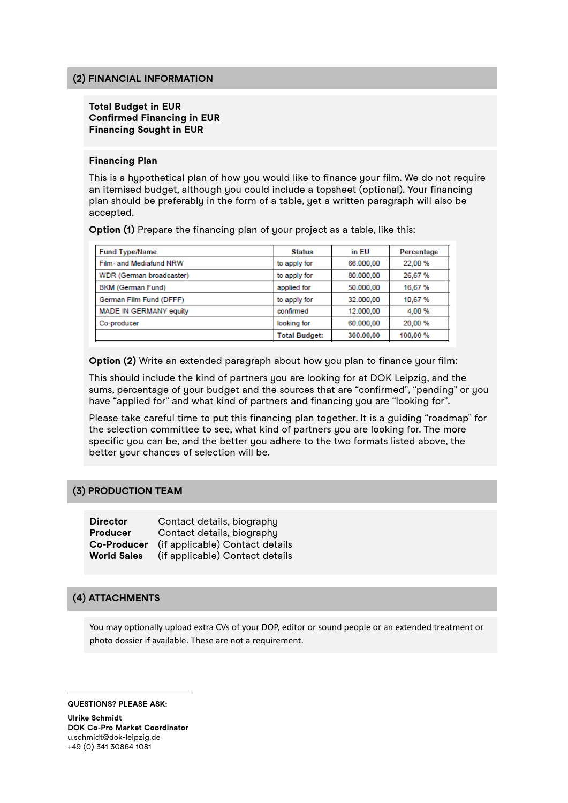### **(2) FINANCIAL INFORMATION**

### **Total Budget in EUR Confirmed Financing in EUR Financing Sought in EUR**

### **Financing Plan**

This is a hypothetical plan of how you would like to finance your film. We do not require an itemised budget, although you could include a topsheet (optional). Your financing plan should be preferably in the form of a table, yet a written paragraph will also be accepted.

**Option (1)** Prepare the financing plan of your project as a table, like this:

| <b>Fund Type/Name</b>         | <b>Status</b>        | in EU     | Percentage |
|-------------------------------|----------------------|-----------|------------|
| Film- and Mediafund NRW       | to apply for         | 66,000,00 | 22.00%     |
| WDR (German broadcaster)      | to apply for         | 80.000.00 | 26.67%     |
| BKM (German Fund)             | applied for          | 50.000.00 | 16.67%     |
| German Film Fund (DFFF)       | to apply for         | 32.000.00 | 10.67%     |
| <b>MADE IN GERMANY equity</b> | confirmed            | 12.000.00 | 4.00 %     |
| Co-producer                   | looking for          | 60,000,00 | 20.00 %    |
|                               | <b>Total Budget:</b> | 300,00,00 | 100.00 %   |

**Option (2)** Write an extended paragraph about how you plan to finance your film:

This should include the kind of partners you are looking for at DOK Leipzig, and the sums, percentage of your budget and the sources that are "confirmed", "pending" or you have "applied for" and what kind of partners and financing you are "looking for".

Please take careful time to put this financing plan together. It is a guiding "roadmap" for the selection committee to see, what kind of partners you are looking for. The more specific you can be, and the better you adhere to the two formats listed above, the better your chances of selection will be.

### **(3) PRODUCTION TEAM**

| <b>Director</b>    | Contact details, biography      |
|--------------------|---------------------------------|
| Producer           | Contact details, biography      |
| <b>Co-Producer</b> | (if applicable) Contact details |
| <b>World Sales</b> | (if applicable) Contact details |

### **(4) ATTACHMENTS**

You may optionally upload extra CVs of your DOP, editor or sound people or an extended treatment or photo dossier if available. These are not a requirement.

**QUESTIONS? PLEASE ASK:**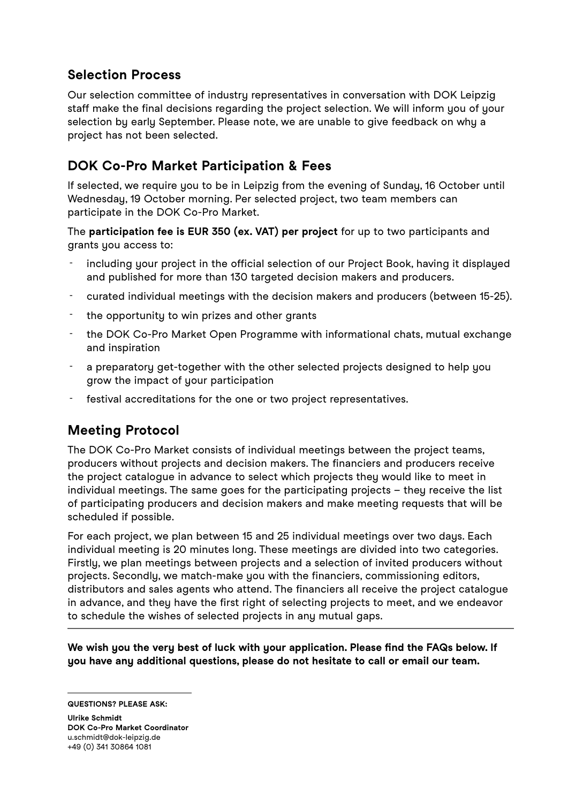## **Selection Process**

Our selection committee of industry representatives in conversation with DOK Leipzig staff make the final decisions regarding the project selection. We will inform you of your selection by early September. Please note, we are unable to give feedback on why a project has not been selected.

## **DOK Co-Pro Market Participation & Fees**

If selected, we require you to be in Leipzig from the evening of Sunday, 16 October until Wednesday, 19 October morning. Per selected project, two team members can participate in the DOK Co-Pro Market.

The **participation fee is EUR 350 (ex. VAT) per project** for up to two participants and grants you access to:

- including your project in the official selection of our Project Book, having it displayed and published for more than 130 targeted decision makers and producers.
- curated individual meetings with the decision makers and producers (between 15-25).
- the opportunity to win prizes and other grants
- the DOK Co-Pro Market Open Programme with informational chats, mutual exchange and inspiration
- a preparatory get-together with the other selected projects designed to help you grow the impact of your participation
- festival accreditations for the one or two project representatives.

## **Meeting Protocol**

The DOK Co-Pro Market consists of individual meetings between the project teams, producers without projects and decision makers. The financiers and producers receive the project catalogue in advance to select which projects they would like to meet in individual meetings. The same goes for the participating projects – they receive the list of participating producers and decision makers and make meeting requests that will be scheduled if possible.

For each project, we plan between 15 and 25 individual meetings over two days. Each individual meeting is 20 minutes long. These meetings are divided into two categories. Firstly, we plan meetings between projects and a selection of invited producers without projects. Secondly, we match-make you with the financiers, commissioning editors, distributors and sales agents who attend. The financiers all receive the project catalogue in advance, and they have the first right of selecting projects to meet, and we endeavor to schedule the wishes of selected projects in any mutual gaps.

**We wish you the very best of luck with your application. Please find the FAQs below. If you have any additional questions, please do not hesitate to call or email our team.**

**QUESTIONS? PLEASE ASK:**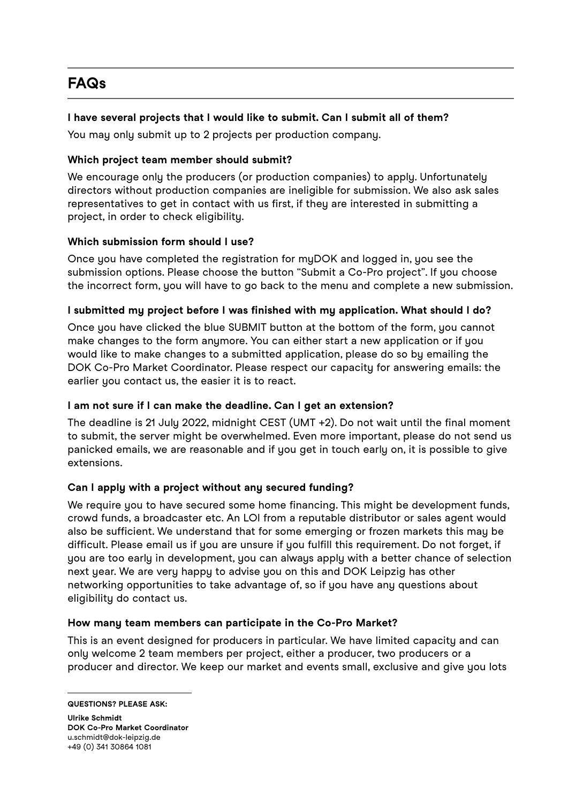# **FAQs**

### **I have several projects that I would like to submit. Can I submit all of them?**

You may only submit up to 2 projects per production company.

### **Which project team member should submit?**

We encourage only the producers (or production companies) to apply. Unfortunately directors without production companies are ineligible for submission. We also ask sales representatives to get in contact with us first, if they are interested in submitting a project, in order to check eligibility.

## **Which submission form should I use?**

Once you have completed the registration for myDOK and logged in, you see the submission options. Please choose the button "Submit a Co-Pro project". If you choose the incorrect form, you will have to go back to the menu and complete a new submission.

## **I submitted my project before I was finished with my application. What should I do?**

Once you have clicked the blue SUBMIT button at the bottom of the form, you cannot make changes to the form anymore. You can either start a new application or if you would like to make changes to a submitted application, please do so by emailing the DOK Co-Pro Market Coordinator. Please respect our capacity for answering emails: the earlier you contact us, the easier it is to react.

## **I am not sure if I can make the deadline. Can I get an extension?**

The deadline is 21 July 2022, midnight CEST (UMT +2). Do not wait until the final moment to submit, the server might be overwhelmed. Even more important, please do not send us panicked emails, we are reasonable and if you get in touch early on, it is possible to give extensions.

## **Can I apply with a project without any secured funding?**

We require you to have secured some home financing. This might be development funds, crowd funds, a broadcaster etc. An LOI from a reputable distributor or sales agent would also be sufficient. We understand that for some emerging or frozen markets this may be difficult. Please email us if you are unsure if you fulfill this requirement. Do not forget, if you are too early in development, you can always apply with a better chance of selection next year. We are very happy to advise you on this and DOK Leipzig has other networking opportunities to take advantage of, so if you have any questions about eligibility do contact us.

## **How many team members can participate in the Co-Pro Market?**

This is an event designed for producers in particular. We have limited capacity and can only welcome 2 team members per project, either a producer, two producers or a producer and director. We keep our market and events small, exclusive and give you lots

**QUESTIONS? PLEASE ASK:**